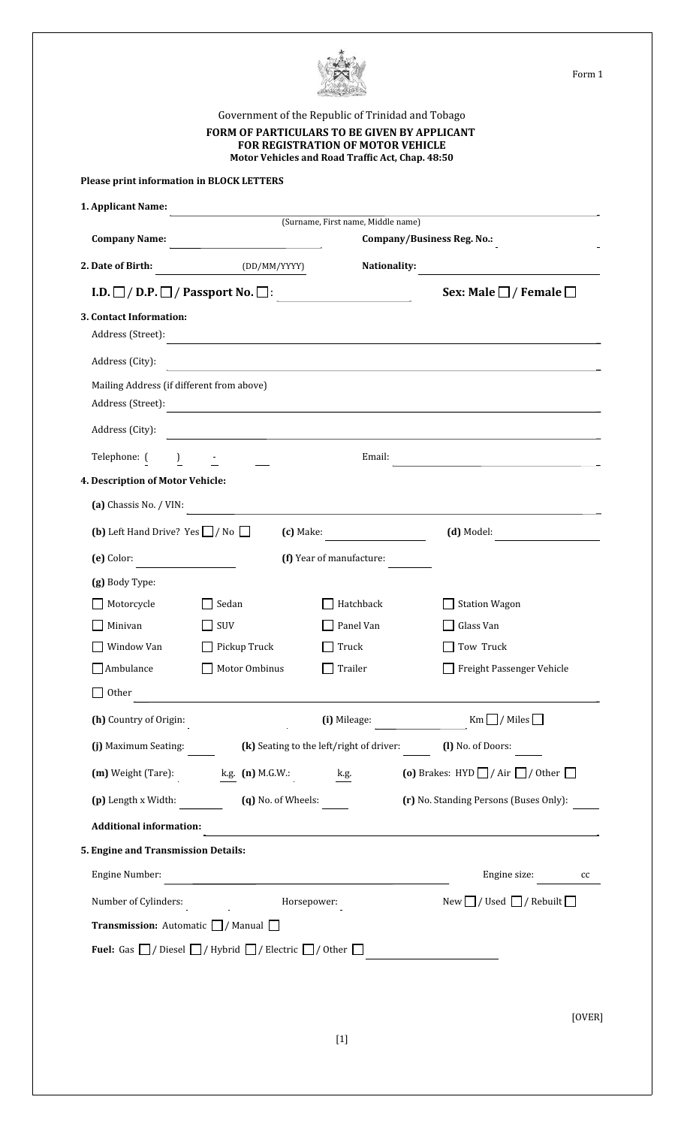

|                                                       | FORM OF PARTICULARS TO BE GIVEN BY APPLICANT                                                                         | Government of the Republic of Trinidad and Tobago<br><b>FOR REGISTRATION OF MOTOR VEHICLE</b> |                                                                                                                                               |
|-------------------------------------------------------|----------------------------------------------------------------------------------------------------------------------|-----------------------------------------------------------------------------------------------|-----------------------------------------------------------------------------------------------------------------------------------------------|
|                                                       |                                                                                                                      | Motor Vehicles and Road Traffic Act, Chap. 48:50                                              |                                                                                                                                               |
| <b>Please print information in BLOCK LETTERS</b>      |                                                                                                                      |                                                                                               |                                                                                                                                               |
| 1. Applicant Name:                                    |                                                                                                                      | (Surname, First name, Middle name)                                                            |                                                                                                                                               |
| <b>Company Name:</b>                                  |                                                                                                                      |                                                                                               | Company/Business Reg. No.:                                                                                                                    |
| 2. Date of Birth:                                     | (DD/MM/YYYY)                                                                                                         | Nationality:                                                                                  |                                                                                                                                               |
|                                                       | I.D. $\square$ / D.P. $\square$ / Passport No. $\square$ :                                                           |                                                                                               | Sex: Male $\Box$ / Female $\Box$                                                                                                              |
| 3. Contact Information:                               | Address (Street):                                                                                                    |                                                                                               |                                                                                                                                               |
| Address (City):                                       | <u> 1980 - Andrea Stadt Britain, marwolaeth a bhliain 1980 - Bhaile Britain, ann an t-Aonaichte ann an t-Aonaich</u> |                                                                                               |                                                                                                                                               |
| Mailing Address (if different from above)             | Address (Street):                                                                                                    |                                                                                               |                                                                                                                                               |
|                                                       | Address (City):                                                                                                      |                                                                                               |                                                                                                                                               |
| Telephone: ( ) -                                      |                                                                                                                      | Email:                                                                                        | the control of the control of the control of the control of the control of                                                                    |
| 4. Description of Motor Vehicle:                      |                                                                                                                      |                                                                                               |                                                                                                                                               |
|                                                       | (a) Chassis No. / VIN:                                                                                               |                                                                                               |                                                                                                                                               |
| <b>(b)</b> Left Hand Drive? Yes $\Box$ / No $\Box$    |                                                                                                                      | $\left(c\right)$ Make:                                                                        | $(d)$ Model:                                                                                                                                  |
| (e) Color:<br><u> 1990 - Jan Jawa</u>                 |                                                                                                                      | (f) Year of manufacture:                                                                      |                                                                                                                                               |
| (g) Body Type:                                        |                                                                                                                      |                                                                                               |                                                                                                                                               |
| Motorcycle                                            | Sedan                                                                                                                | Hatchback                                                                                     | <b>Station Wagon</b>                                                                                                                          |
| Minivan                                               | SUV                                                                                                                  | Panel Van                                                                                     | Glass Van                                                                                                                                     |
| Window Van                                            | $\Box$ Pickup Truck                                                                                                  | Truck                                                                                         | Tow Truck                                                                                                                                     |
| $\Box$ Ambulance<br>$\Box$ Other                      | Motor Ombinus                                                                                                        | Trailer                                                                                       | Freight Passenger Vehicle                                                                                                                     |
|                                                       | (h) Country of Origin:                                                                                               |                                                                                               | (i) Mileage: $\begin{array}{c} \boxed{\phantom{a}} \\ \boxed{\phantom{a}} \end{array}$ Km $\boxed{\phantom{a}}$ / Miles $\boxed{\phantom{a}}$ |
|                                                       |                                                                                                                      |                                                                                               |                                                                                                                                               |
|                                                       |                                                                                                                      |                                                                                               | (i) Maximum Seating: (k) Seating to the left/right of driver: (1) No. of Doors:                                                               |
|                                                       | $(m)$ Weight (Tare): $\underline{kg}$ (n) M.G.W.: $\underline{kg}$                                                   |                                                                                               | (o) Brakes: HYD $\Box$ / Air $\Box$ / Other $\Box$                                                                                            |
| (p) Length x Width:                                   | $(q)$ No. of Wheels:                                                                                                 |                                                                                               | (r) No. Standing Persons (Buses Only):                                                                                                        |
| <b>Additional information:</b>                        |                                                                                                                      |                                                                                               |                                                                                                                                               |
| 5. Engine and Transmission Details:                   |                                                                                                                      |                                                                                               |                                                                                                                                               |
| Engine Number:                                        | <u> 1980 - Jan Samuel Barbara, martin da shekara 1980 - An tsa mashrida</u>                                          |                                                                                               | Engine size:<br>cc                                                                                                                            |
| Number of Cylinders:                                  |                                                                                                                      | Horsepower:                                                                                   | New $\Box$ / Used $\Box$ / Rebuilt $\Box$                                                                                                     |
| <b>Transmission:</b> Automatic $\Box$ / Manual $\Box$ |                                                                                                                      |                                                                                               |                                                                                                                                               |
|                                                       | <b>Fuel:</b> Gas $\Box$ / Diesel $\Box$ / Hybrid $\Box$ / Electric $\Box$ / Other $\Box$                             |                                                                                               |                                                                                                                                               |
|                                                       |                                                                                                                      |                                                                                               |                                                                                                                                               |
|                                                       |                                                                                                                      |                                                                                               |                                                                                                                                               |
|                                                       |                                                                                                                      |                                                                                               | [OVER]                                                                                                                                        |
|                                                       |                                                                                                                      | $[1]$                                                                                         |                                                                                                                                               |